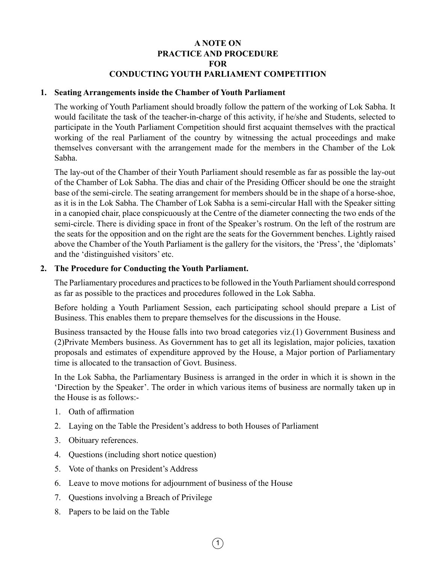## **A NOTE ON PRACTICE AND PROCEDURE FOR CONDUCTING YOUTH PARLIAMENT COMPETITION**

#### **1. Seating Arrangements inside the Chamber of Youth Parliament**

The working of Youth Parliament should broadly follow the pattern of the working of Lok Sabha. It would facilitate the task of the teacher-in-charge of this activity, if he/she and Students, selected to participate in the Youth Parliament Competition should first acquaint themselves with the practical working of the real Parliament of the country by witnessing the actual proceedings and make themselves conversant with the arrangement made for the members in the Chamber of the Lok Sabha.

The lay-out of the Chamber of their Youth Parliament should resemble as far as possible the lay-out of the Chamber of Lok Sabha. The dias and chair of the Presiding Officer should be one the straight base of the semi-circle. The seating arrangement for members should be in the shape of a horse-shoe, as it is in the Lok Sabha. The Chamber of Lok Sabha is a semi-circular Hall with the Speaker sitting in a canopied chair, place conspicuously at the Centre of the diameter connecting the two ends of the semi-circle. There is dividing space in front of the Speaker's rostrum. On the left of the rostrum are the seats for the opposition and on the right are the seats for the Government benches. Lightly raised above the Chamber of the Youth Parliament is the gallery for the visitors, the 'Press', the 'diplomats' and the 'distinguished visitors' etc.

## **2. The Procedure for Conducting the Youth Parliament.**

The Parliamentary procedures and practices to be followed in the Youth Parliament should correspond as far as possible to the practices and procedures followed in the Lok Sabha.

Before holding a Youth Parliament Session, each participating school should prepare a List of Business. This enables them to prepare themselves for the discussions in the House.

Business transacted by the House falls into two broad categories viz.(1) Government Business and (2)Private Members business. As Government has to get all its legislation, major policies, taxation proposals and estimates of expenditure approved by the House, a Major portion of Parliamentary time is allocated to the transaction of Govt. Business.

In the Lok Sabha, the Parliamentary Business is arranged in the order in which it is shown in the 'Direction by the Speaker'. The order in which various items of business are normally taken up in the House is as follows:-

 $\vert$  1

- 1. Oath of affirmation
- 2. Laying on the Table the President's address to both Houses of Parliament
- 3. Obituary references.
- 4. Questions (including short notice question)
- 5. Vote of thanks on President's Address
- 6. Leave to move motions for adjournment of business of the House
- 7. Questions involving a Breach of Privilege
- 8. Papers to be laid on the Table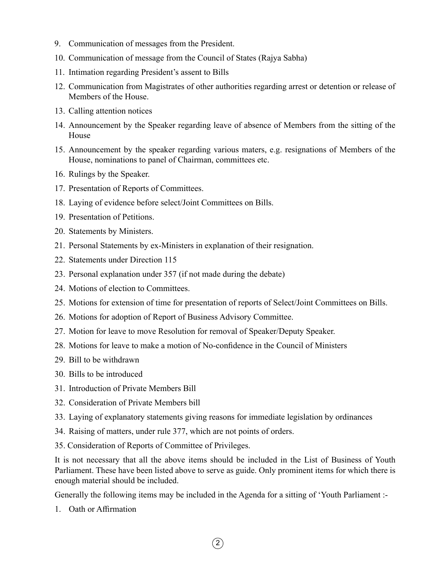- 9. Communication of messages from the President.
- 10. Communication of message from the Council of States (Rajya Sabha)
- 11. Intimation regarding President's assent to Bills
- 12. Communication from Magistrates of other authorities regarding arrest or detention or release of Members of the House.
- 13. Calling attention notices
- 14. Announcement by the Speaker regarding leave of absence of Members from the sitting of the House
- 15. Announcement by the speaker regarding various maters, e.g. resignations of Members of the House, nominations to panel of Chairman, committees etc.
- 16. Rulings by the Speaker.
- 17. Presentation of Reports of Committees.
- 18. Laying of evidence before select/Joint Committees on Bills.
- 19. Presentation of Petitions.
- 20. Statements by Ministers.
- 21. Personal Statements by ex-Ministers in explanation of their resignation.
- 22. Statements under Direction 115
- 23. Personal explanation under 357 (if not made during the debate)
- 24. Motions of election to Committees.
- 25. Motions for extension of time for presentation of reports of Select/Joint Committees on Bills.
- 26. Motions for adoption of Report of Business Advisory Committee.
- 27. Motion for leave to move Resolution for removal of Speaker/Deputy Speaker.
- 28. Motions for leave to make a motion of No-confidence in the Council of Ministers
- 29. Bill to be withdrawn
- 30. Bills to be introduced
- 31. Introduction of Private Members Bill
- 32. Consideration of Private Members bill
- 33. Laying of explanatory statements giving reasons for immediate legislation by ordinances
- 34. Raising of matters, under rule 377, which are not points of orders.
- 35. Consideration of Reports of Committee of Privileges.

It is not necessary that all the above items should be included in the List of Business of Youth Parliament. These have been listed above to serve as guide. Only prominent items for which there is enough material should be included.

Generally the following items may be included in the Agenda for a sitting of 'Youth Parliament :-

2  $)$ 

1. Oath or Affirmation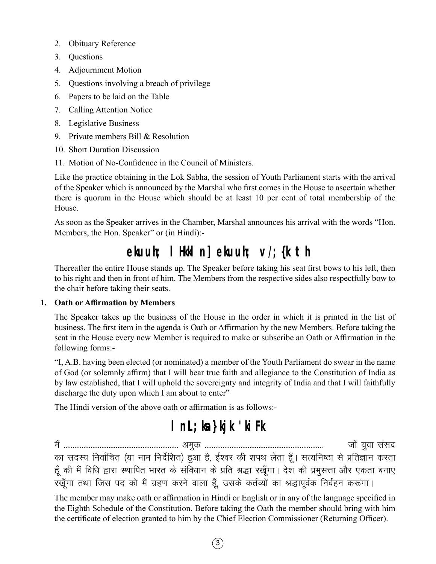- 2. Obituary Reference
- 3. Questions
- 4. Adjournment Motion
- 5. Questions involving a breach of privilege
- 6. Papers to be laid on the Table
- 7. Calling Attention Notice
- 8. Legislative Business
- 9. Private members Bill & Resolution
- 10. Short Duration Discussion
- 11. Motion of No-Confidence in the Council of Ministers.

Like the practice obtaining in the Lok Sabha, the session of Youth Parliament starts with the arrival of the Speaker which is announced by the Marshal who first comes in the House to ascertain whether there is quorum in the House which should be at least 10 per cent of total membership of the House.

As soon as the Speaker arrives in the Chamber, Marshal announces his arrival with the words "Hon. Members, the Hon. Speaker" or (in Hindi):-

# **ekuuh; lHkkln] ekuuh; v/;{k th**

Thereafter the entire House stands up. The Speaker before taking his seat first bows to his left, then to his right and then in front of him. The Members from the respective sides also respectfully bow to the chair before taking their seats.

# **1. Oath or Affirmation by Members**

 $\frac{1}{2}$  3

The Speaker takes up the business of the House in the order in which it is printed in the list of business. The first item in the agenda is Oath or Affirmation by the new Members. Before taking the seat in the House every new Member is required to make or subscribe an Oath or Affirmation in the following forms:-

"I, A.B. having been elected (or nominated) a member of the Youth Parliament do swear in the name of God (or solemnly affirm) that I will bear true faith and allegiance to the Constitution of India as by law established, that I will uphold the sovereignty and integrity of India and that I will faithfully discharge the duty upon which I am about to enter"

The Hindi version of the above oath or affirmation is as follows:-

# $l$ nL; ka} kk 'ki Kk

eSa ---------------------------------------------------------------- veqd ------------------------------------------------------------------ tks ;qok laln का सदस्य निर्वाचित (या नाम निर्देशित) हुआ है, ईश्वर की शपथ लेता हूँ। सत्यनिष्ठा से प्रतिज्ञान करता हूँ की मैं विधि द्वारा स्थापित भारत के संविधान के प्रति श्रद्धा रखूँगा। देश की प्रभुसत्ता और एकता बनाए रखूँगा तथा जिस पद को मैं ग्रहण करने वाला हूँ, उसके कर्तव्यों का श्रद्धापूर्वक निर्वहन करूंगा।

The member may make oath or affirmation in Hindi or English or in any of the language specified in the Eighth Schedule of the Constitution. Before taking the Oath the member should bring with him the certificate of election granted to him by the Chief Election Commissioner (Returning Officer).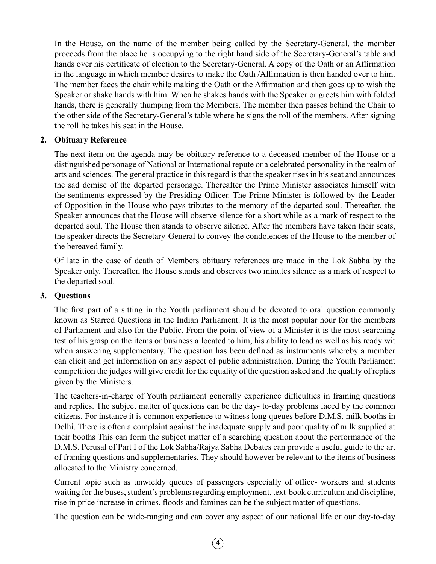In the House, on the name of the member being called by the Secretary-General, the member proceeds from the place he is occupying to the right hand side of the Secretary-General's table and hands over his certificate of election to the Secretary-General. A copy of the Oath or an Affirmation in the language in which member desires to make the Oath /Affirmation is then handed over to him. The member faces the chair while making the Oath or the Affirmation and then goes up to wish the Speaker or shake hands with him. When he shakes hands with the Speaker or greets him with folded hands, there is generally thumping from the Members. The member then passes behind the Chair to the other side of the Secretary-General's table where he signs the roll of the members. After signing the roll he takes his seat in the House.

## **2. Obituary Reference**

The next item on the agenda may be obituary reference to a deceased member of the House or a distinguished personage of National or International repute or a celebrated personality in the realm of arts and sciences. The general practice in this regard is that the speaker rises in his seat and announces the sad demise of the departed personage. Thereafter the Prime Minister associates himself with the sentiments expressed by the Presiding Officer. The Prime Minister is followed by the Leader of Opposition in the House who pays tributes to the memory of the departed soul. Thereafter, the Speaker announces that the House will observe silence for a short while as a mark of respect to the departed soul. The House then stands to observe silence. After the members have taken their seats, the speaker directs the Secretary-General to convey the condolences of the House to the member of the bereaved family.

Of late in the case of death of Members obituary references are made in the Lok Sabha by the Speaker only. Thereafter, the House stands and observes two minutes silence as a mark of respect to the departed soul.

# **3. Questions**

The first part of a sitting in the Youth parliament should be devoted to oral question commonly known as Starred Questions in the Indian Parliament. It is the most popular hour for the members of Parliament and also for the Public. From the point of view of a Minister it is the most searching test of his grasp on the items or business allocated to him, his ability to lead as well as his ready wit when answering supplementary. The question has been defined as instruments whereby a member can elicit and get information on any aspect of public administration. During the Youth Parliament competition the judges will give credit for the equality of the question asked and the quality of replies given by the Ministers.

The teachers-in-charge of Youth parliament generally experience difficulties in framing questions and replies. The subject matter of questions can be the day- to-day problems faced by the common citizens. For instance it is common experience to witness long queues before D.M.S. milk booths in Delhi. There is often a complaint against the inadequate supply and poor quality of milk supplied at their booths This can form the subject matter of a searching question about the performance of the D.M.S. Perusal of Part I of the Lok Sabha/Rajya Sabha Debates can provide a useful guide to the art of framing questions and supplementaries. They should however be relevant to the items of business allocated to the Ministry concerned.

Current topic such as unwieldy queues of passengers especially of office- workers and students waiting for the buses, student's problems regarding employment, text-book curriculum and discipline, rise in price increase in crimes, floods and famines can be the subject matter of questions.

The question can be wide-ranging and can cover any aspect of our national life or our day-to-day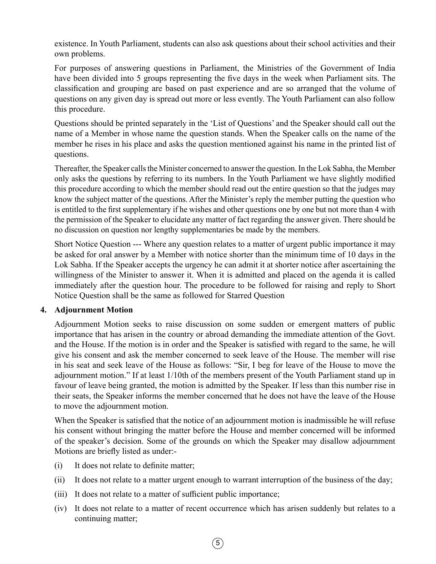existence. In Youth Parliament, students can also ask questions about their school activities and their own problems.

For purposes of answering questions in Parliament, the Ministries of the Government of India have been divided into 5 groups representing the five days in the week when Parliament sits. The classification and grouping are based on past experience and are so arranged that the volume of questions on any given day is spread out more or less evently. The Youth Parliament can also follow this procedure.

Questions should be printed separately in the 'List of Questions' and the Speaker should call out the name of a Member in whose name the question stands. When the Speaker calls on the name of the member he rises in his place and asks the question mentioned against his name in the printed list of questions.

Thereafter, the Speaker calls the Minister concerned to answer the question. In the Lok Sabha, the Member only asks the questions by referring to its numbers. In the Youth Parliament we have slightly modified this procedure according to which the member should read out the entire question so that the judges may know the subject matter of the questions. After the Minister's reply the member putting the question who is entitled to the first supplementary if he wishes and other questions one by one but not more than 4 with the permission of the Speaker to elucidate any matter of fact regarding the answer given. There should be no discussion on question nor lengthy supplementaries be made by the members.

Short Notice Question --- Where any question relates to a matter of urgent public importance it may be asked for oral answer by a Member with notice shorter than the minimum time of 10 days in the Lok Sabha. If the Speaker accepts the urgency he can admit it at shorter notice after ascertaining the willingness of the Minister to answer it. When it is admitted and placed on the agenda it is called immediately after the question hour. The procedure to be followed for raising and reply to Short Notice Question shall be the same as followed for Starred Question

## **4. Adjournment Motion**

Adjournment Motion seeks to raise discussion on some sudden or emergent matters of public importance that has arisen in the country or abroad demanding the immediate attention of the Govt. and the House. If the motion is in order and the Speaker is satisfied with regard to the same, he will give his consent and ask the member concerned to seek leave of the House. The member will rise in his seat and seek leave of the House as follows: "Sir, I beg for leave of the House to move the adjournment motion." If at least 1/10th of the members present of the Youth Parliament stand up in favour of leave being granted, the motion is admitted by the Speaker. If less than this number rise in their seats, the Speaker informs the member concerned that he does not have the leave of the House to move the adjournment motion.

When the Speaker is satisfied that the notice of an adjournment motion is inadmissible he will refuse his consent without bringing the matter before the House and member concerned will be informed of the speaker's decision. Some of the grounds on which the Speaker may disallow adjournment Motions are briefly listed as under:-

- (i) It does not relate to definite matter;
- (ii) It does not relate to a matter urgent enough to warrant interruption of the business of the day;
- (iii) It does not relate to a matter of sufficient public importance;
- (iv) It does not relate to a matter of recent occurrence which has arisen suddenly but relates to a continuing matter;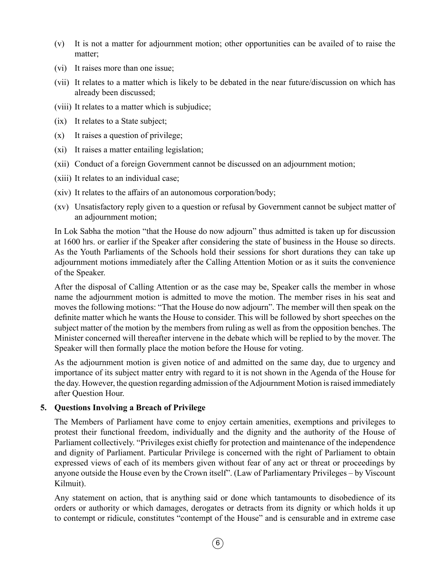- (v) It is not a matter for adjournment motion; other opportunities can be availed of to raise the matter;
- (vi) It raises more than one issue;
- (vii) It relates to a matter which is likely to be debated in the near future/discussion on which has already been discussed;
- (viii) It relates to a matter which is subjudice;
- (ix) It relates to a State subject;
- (x) It raises a question of privilege;
- (xi) It raises a matter entailing legislation;
- (xii) Conduct of a foreign Government cannot be discussed on an adjournment motion;
- (xiii) It relates to an individual case;
- (xiv) It relates to the affairs of an autonomous corporation/body;
- (xv) Unsatisfactory reply given to a question or refusal by Government cannot be subject matter of an adjournment motion;

In Lok Sabha the motion "that the House do now adjourn" thus admitted is taken up for discussion at 1600 hrs. or earlier if the Speaker after considering the state of business in the House so directs. As the Youth Parliaments of the Schools hold their sessions for short durations they can take up adjournment motions immediately after the Calling Attention Motion or as it suits the convenience of the Speaker.

After the disposal of Calling Attention or as the case may be, Speaker calls the member in whose name the adjournment motion is admitted to move the motion. The member rises in his seat and moves the following motions: "That the House do now adjourn". The member will then speak on the definite matter which he wants the House to consider. This will be followed by short speeches on the subject matter of the motion by the members from ruling as well as from the opposition benches. The Minister concerned will thereafter intervene in the debate which will be replied to by the mover. The Speaker will then formally place the motion before the House for voting.

As the adjournment motion is given notice of and admitted on the same day, due to urgency and importance of its subject matter entry with regard to it is not shown in the Agenda of the House for the day. However, the question regarding admission of the Adjournment Motion is raised immediately after Question Hour.

## **5. Questions Involving a Breach of Privilege**

The Members of Parliament have come to enjoy certain amenities, exemptions and privileges to protest their functional freedom, individually and the dignity and the authority of the House of Parliament collectively. "Privileges exist chiefly for protection and maintenance of the independence and dignity of Parliament. Particular Privilege is concerned with the right of Parliament to obtain expressed views of each of its members given without fear of any act or threat or proceedings by anyone outside the House even by the Crown itself". (Law of Parliamentary Privileges – by Viscount Kilmuit).

Any statement on action, that is anything said or done which tantamounts to disobedience of its orders or authority or which damages, derogates or detracts from its dignity or which holds it up to contempt or ridicule, constitutes "contempt of the House" and is censurable and in extreme case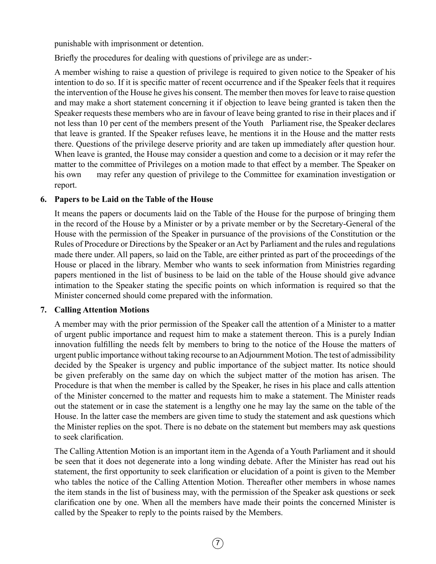punishable with imprisonment or detention.

Briefly the procedures for dealing with questions of privilege are as under:-

A member wishing to raise a question of privilege is required to given notice to the Speaker of his intention to do so. If it is specific matter of recent occurrence and if the Speaker feels that it requires the intervention of the House he gives his consent. The member then moves for leave to raise question and may make a short statement concerning it if objection to leave being granted is taken then the Speaker requests these members who are in favour of leave being granted to rise in their places and if not less than 10 per cent of the members present of the Youth Parliament rise, the Speaker declares that leave is granted. If the Speaker refuses leave, he mentions it in the House and the matter rests there. Questions of the privilege deserve priority and are taken up immediately after question hour. When leave is granted, the House may consider a question and come to a decision or it may refer the matter to the committee of Privileges on a motion made to that effect by a member. The Speaker on his own may refer any question of privilege to the Committee for examination investigation or report.

## **6. Papers to be Laid on the Table of the House**

It means the papers or documents laid on the Table of the House for the purpose of bringing them in the record of the House by a Minister or by a private member or by the Secretary-General of the House with the permission of the Speaker in pursuance of the provisions of the Constitution or the Rules of Procedure or Directions by the Speaker or an Act by Parliament and the rules and regulations made there under. All papers, so laid on the Table, are either printed as part of the proceedings of the House or placed in the library. Member who wants to seek information from Ministries regarding papers mentioned in the list of business to be laid on the table of the House should give advance intimation to the Speaker stating the specific points on which information is required so that the Minister concerned should come prepared with the information.

## **7. Calling Attention Motions**

A member may with the prior permission of the Speaker call the attention of a Minister to a matter of urgent public importance and request him to make a statement thereon. This is a purely Indian innovation fulfilling the needs felt by members to bring to the notice of the House the matters of urgent public importance without taking recourse to an Adjournment Motion. The test of admissibility decided by the Speaker is urgency and public importance of the subject matter. Its notice should be given preferably on the same day on which the subject matter of the motion has arisen. The Procedure is that when the member is called by the Speaker, he rises in his place and calls attention of the Minister concerned to the matter and requests him to make a statement. The Minister reads out the statement or in case the statement is a lengthy one he may lay the same on the table of the House. In the latter case the members are given time to study the statement and ask questions which the Minister replies on the spot. There is no debate on the statement but members may ask questions to seek clarification.

The Calling Attention Motion is an important item in the Agenda of a Youth Parliament and it should be seen that it does not degenerate into a long winding debate. After the Minister has read out his statement, the first opportunity to seek clarification or elucidation of a point is given to the Member who tables the notice of the Calling Attention Motion. Thereafter other members in whose names the item stands in the list of business may, with the permission of the Speaker ask questions or seek clarification one by one. When all the members have made their points the concerned Minister is called by the Speaker to reply to the points raised by the Members.

 $(7)$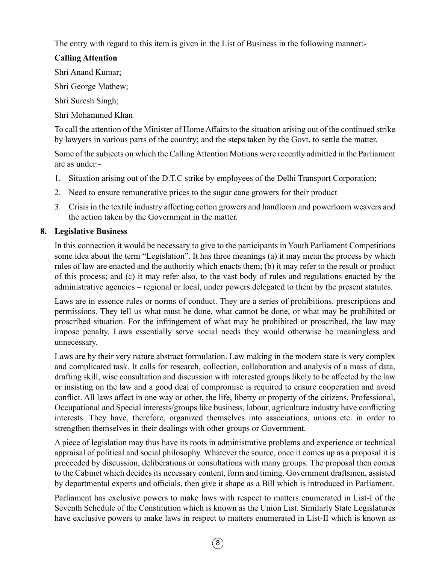The entry with regard to this item is given in the List of Business in the following manner:-

# **Calling Attention**

Shri Anand Kumar;

Shri George Mathew;

Shri Suresh Singh;

Shri Mohammed Khan

To call the attention of the Minister of Home Affairs to the situation arising out of the continued strike by lawyers in various parts of the country; and the steps taken by the Govt. to settle the matter.

Some of the subjects on which the Calling Attention Motions were recently admitted in the Parliament are as under:-

- 1. Situation arising out of the D.T.C strike by employees of the Delhi Transport Corporation;
- 2. Need to ensure remunerative prices to the sugar cane growers for their product
- 3. Crisis in the textile industry affecting cotton growers and handloom and powerloom weavers and the action taken by the Government in the matter.

# **8. Legislative Business**

In this connection it would be necessary to give to the participants in Youth Parliament Competitions some idea about the term "Legislation". It has three meanings (a) it may mean the process by which rules of law are enacted and the authority which enacts them; (b) it may refer to the result or product of this process; and (c) it may refer also, to the vast body of rules and regulations enacted by the administrative agencies – regional or local, under powers delegated to them by the present statutes.

Laws are in essence rules or norms of conduct. They are a series of prohibitions. prescriptions and permissions. They tell us what must be done, what cannot be done, or what may be prohibited or proscribed situation. For the infringement of what may be prohibited or proscribed, the law may impose penalty. Laws essentially serve social needs they would otherwise be meaningless and unnecessary.

Laws are by their very nature abstract formulation. Law making in the modern state is very complex and complicated task. It calls for research, collection, collaboration and analysis of a mass of data, drafting skill, wise consultation and discussion with interested groups likely to be affected by the law or insisting on the law and a good deal of compromise is required to ensure cooperation and avoid conflict. All laws affect in one way or other, the life, liberty or property of the citizens. Professional, Occupational and Special interests/groups like business, labour, agriculture industry have conflicting interests. They have, therefore, organized themselves into associations, unions etc. in order to strengthen themselves in their dealings with other groups or Government.

A piece of legislation may thus have its roots in administrative problems and experience or technical appraisal of political and social philosophy. Whatever the source, once it comes up as a proposal it is proceeded by discussion, deliberations or consultations with many groups. The proposal then comes to the Cabinet which decides its necessary content, form and timing. Government draftsmen, assisted by departmental experts and officials, then give it shape as a Bill which is introduced in Parliament.

Parliament has exclusive powers to make laws with respect to matters enumerated in List-I of the Seventh Schedule of the Constitution which is known as the Union List. Similarly State Legislatures have exclusive powers to make laws in respect to matters enumerated in List-II which is known as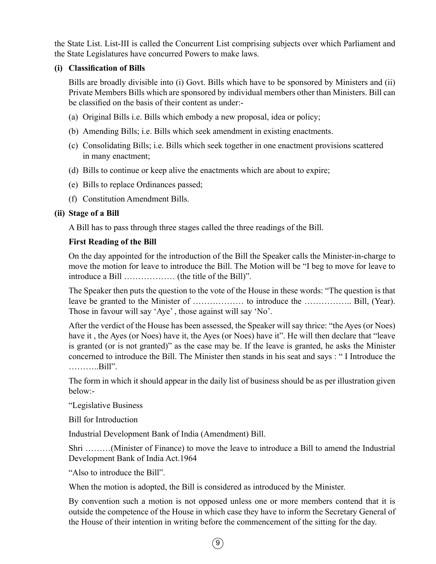the State List. List-III is called the Concurrent List comprising subjects over which Parliament and the State Legislatures have concurred Powers to make laws.

# **(i) Classification of Bills**

 Bills are broadly divisible into (i) Govt. Bills which have to be sponsored by Ministers and (ii) Private Members Bills which are sponsored by individual members other than Ministers. Bill can be classified on the basis of their content as under:-

- (a) Original Bills i.e. Bills which embody a new proposal, idea or policy;
- (b) Amending Bills; i.e. Bills which seek amendment in existing enactments.
- (c) Consolidating Bills; i.e. Bills which seek together in one enactment provisions scattered in many enactment;
- (d) Bills to continue or keep alive the enactments which are about to expire;
- (e) Bills to replace Ordinances passed;
- (f) Constitution Amendment Bills.

# **(ii) Stage of a Bill**

A Bill has to pass through three stages called the three readings of the Bill.

# **First Reading of the Bill**

 On the day appointed for the introduction of the Bill the Speaker calls the Minister-in-charge to move the motion for leave to introduce the Bill. The Motion will be "I beg to move for leave to introduce a Bill ……………… (the title of the Bill)".

The Speaker then puts the question to the vote of the House in these words: "The question is that leave be granted to the Minister of ……………… to introduce the …………….. Bill, (Year). Those in favour will say 'Aye' , those against will say 'No'.

 After the verdict of the House has been assessed, the Speaker will say thrice: "the Ayes (or Noes) have it, the Ayes (or Noes) have it, the Ayes (or Noes) have it". He will then declare that "leave is granted (or is not granted)" as the case may be. If the leave is granted, he asks the Minister concerned to introduce the Bill. The Minister then stands in his seat and says : " I Introduce the ………..Bill".

 The form in which it should appear in the daily list of business should be as per illustration given below:-

"Legislative Business

Bill for Introduction

 $(9$ 

Industrial Development Bank of India (Amendment) Bill.

 Shri ………(Minister of Finance) to move the leave to introduce a Bill to amend the Industrial Development Bank of India Act.1964

"Also to introduce the Bill".

When the motion is adopted, the Bill is considered as introduced by the Minister.

 By convention such a motion is not opposed unless one or more members contend that it is outside the competence of the House in which case they have to inform the Secretary General of the House of their intention in writing before the commencement of the sitting for the day.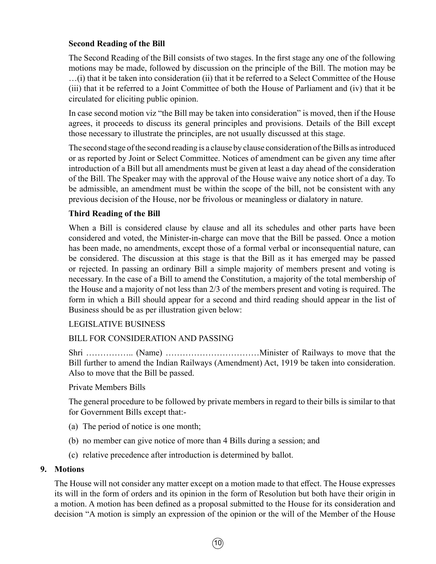# **Second Reading of the Bill**

The Second Reading of the Bill consists of two stages. In the first stage any one of the following motions may be made, followed by discussion on the principle of the Bill. The motion may be …(i) that it be taken into consideration (ii) that it be referred to a Select Committee of the House (iii) that it be referred to a Joint Committee of both the House of Parliament and (iv) that it be circulated for eliciting public opinion.

 In case second motion viz "the Bill may be taken into consideration" is moved, then if the House agrees, it proceeds to discuss its general principles and provisions. Details of the Bill except those necessary to illustrate the principles, are not usually discussed at this stage.

 The second stage of the second reading is a clause by clause consideration of the Bills as introduced or as reported by Joint or Select Committee. Notices of amendment can be given any time after introduction of a Bill but all amendments must be given at least a day ahead of the consideration of the Bill. The Speaker may with the approval of the House waive any notice short of a day. To be admissible, an amendment must be within the scope of the bill, not be consistent with any previous decision of the House, nor be frivolous or meaningless or dialatory in nature.

# **Third Reading of the Bill**

 When a Bill is considered clause by clause and all its schedules and other parts have been considered and voted, the Minister-in-charge can move that the Bill be passed. Once a motion has been made, no amendments, except those of a formal verbal or inconsequential nature, can be considered. The discussion at this stage is that the Bill as it has emerged may be passed or rejected. In passing an ordinary Bill a simple majority of members present and voting is necessary. In the case of a Bill to amend the Constitution, a majority of the total membership of the House and a majority of not less than 2/3 of the members present and voting is required. The form in which a Bill should appear for a second and third reading should appear in the list of Business should be as per illustration given below:

# LEGISLATIVE BUSINESS

# BILL FOR CONSIDERATION AND PASSING

Shri ……………….. (Name) …………………………………….. Minister of Railways to move that the Bill further to amend the Indian Railways (Amendment) Act, 1919 be taken into consideration. Also to move that the Bill be passed.

## Private Members Bills

 The general procedure to be followed by private members in regard to their bills is similar to that for Government Bills except that:-

- (a) The period of notice is one month;
- (b) no member can give notice of more than 4 Bills during a session; and
- (c) relative precedence after introduction is determined by ballot.

## **9. Motions**

The House will not consider any matter except on a motion made to that effect. The House expresses its will in the form of orders and its opinion in the form of Resolution but both have their origin in a motion. A motion has been defined as a proposal submitted to the House for its consideration and decision "A motion is simply an expression of the opinion or the will of the Member of the House

 $10)$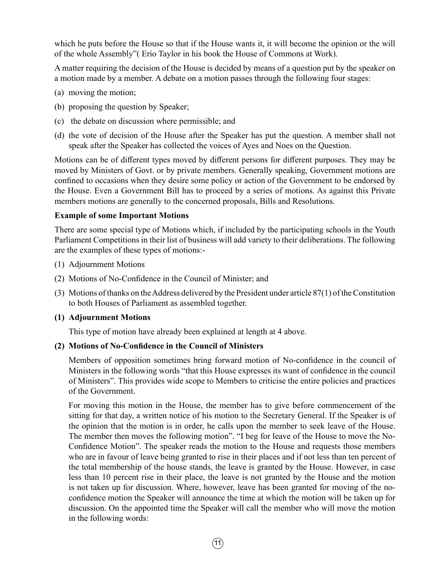which he puts before the House so that if the House wants it, it will become the opinion or the will of the whole Assembly"( Erio Taylor in his book the House of Commons at Work).

A matter requiring the decision of the House is decided by means of a question put by the speaker on a motion made by a member. A debate on a motion passes through the following four stages:

- (a) moving the motion;
- (b) proposing the question by Speaker;
- (c) the debate on discussion where permissible; and
- (d) the vote of decision of the House after the Speaker has put the question. A member shall not speak after the Speaker has collected the voices of Ayes and Noes on the Question.

Motions can be of different types moved by different persons for different purposes. They may be moved by Ministers of Govt. or by private members. Generally speaking, Government motions are confined to occasions when they desire some policy or action of the Government to be endorsed by the House. Even a Government Bill has to proceed by a series of motions. As against this Private members motions are generally to the concerned proposals, Bills and Resolutions.

## **Example of some Important Motions**

There are some special type of Motions which, if included by the participating schools in the Youth Parliament Competitions in their list of business will add variety to their deliberations. The following are the examples of these types of motions:-

- (1) Adjournment Motions
- (2) Motions of No-Confidence in the Council of Minister; and
- (3) Motions of thanks on the Address delivered by the President under article 87(1) of the Constitution to both Houses of Parliament as assembled together.

## **(1) Adjournment Motions**

This type of motion have already been explained at length at 4 above.

# **(2) Motions of No-Confidence in the Council of Ministers**

Members of opposition sometimes bring forward motion of No-confidence in the council of Ministers in the following words "that this House expresses its want of confidence in the council of Ministers". This provides wide scope to Members to criticise the entire policies and practices of the Government.

For moving this motion in the House, the member has to give before commencement of the sitting for that day, a written notice of his motion to the Secretary General. If the Speaker is of the opinion that the motion is in order, he calls upon the member to seek leave of the House. The member then moves the following motion". "I beg for leave of the House to move the No-Confidence Motion". The speaker reads the motion to the House and requests those members who are in favour of leave being granted to rise in their places and if not less than ten percent of the total membership of the house stands, the leave is granted by the House. However, in case less than 10 percent rise in their place, the leave is not granted by the House and the motion is not taken up for discussion. Where, however, leave has been granted for moving of the noconfidence motion the Speaker will announce the time at which the motion will be taken up for discussion. On the appointed time the Speaker will call the member who will move the motion in the following words: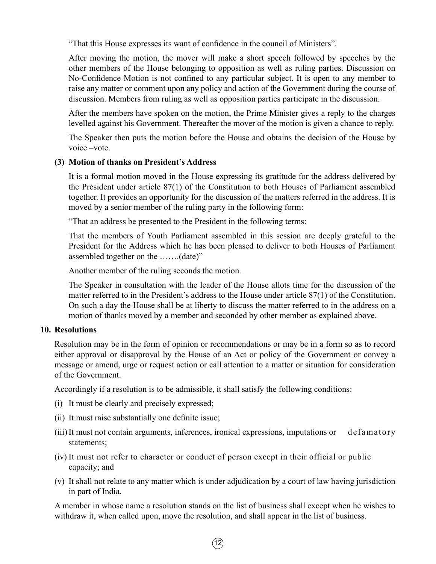"That this House expresses its want of confidence in the council of Ministers".

 After moving the motion, the mover will make a short speech followed by speeches by the other members of the House belonging to opposition as well as ruling parties. Discussion on No-Confidence Motion is not confined to any particular subject. It is open to any member to raise any matter or comment upon any policy and action of the Government during the course of discussion. Members from ruling as well as opposition parties participate in the discussion.

 After the members have spoken on the motion, the Prime Minister gives a reply to the charges levelled against his Government. Thereafter the mover of the motion is given a chance to reply.

 The Speaker then puts the motion before the House and obtains the decision of the House by voice –vote.

# **(3) Motion of thanks on President's Address**

 It is a formal motion moved in the House expressing its gratitude for the address delivered by the President under article 87(1) of the Constitution to both Houses of Parliament assembled together. It provides an opportunity for the discussion of the matters referred in the address. It is moved by a senior member of the ruling party in the following form:

"That an address be presented to the President in the following terms:

 That the members of Youth Parliament assembled in this session are deeply grateful to the President for the Address which he has been pleased to deliver to both Houses of Parliament assembled together on the …….(date)"

Another member of the ruling seconds the motion.

 The Speaker in consultation with the leader of the House allots time for the discussion of the matter referred to in the President's address to the House under article 87(1) of the Constitution. On such a day the House shall be at liberty to discuss the matter referred to in the address on a motion of thanks moved by a member and seconded by other member as explained above.

## **10. Resolutions**

Resolution may be in the form of opinion or recommendations or may be in a form so as to record either approval or disapproval by the House of an Act or policy of the Government or convey a message or amend, urge or request action or call attention to a matter or situation for consideration of the Government.

Accordingly if a resolution is to be admissible, it shall satisfy the following conditions:

- (i) It must be clearly and precisely expressed;
- (ii) It must raise substantially one definite issue;
- (iii)It must not contain arguments, inferences, ironical expressions, imputations or defamatory statements;
- (iv) It must not refer to character or conduct of person except in their official or public capacity; and
- (v) It shall not relate to any matter which is under adjudication by a court of law having jurisdiction in part of India.

A member in whose name a resolution stands on the list of business shall except when he wishes to withdraw it, when called upon, move the resolution, and shall appear in the list of business.

 $\left(12\right)$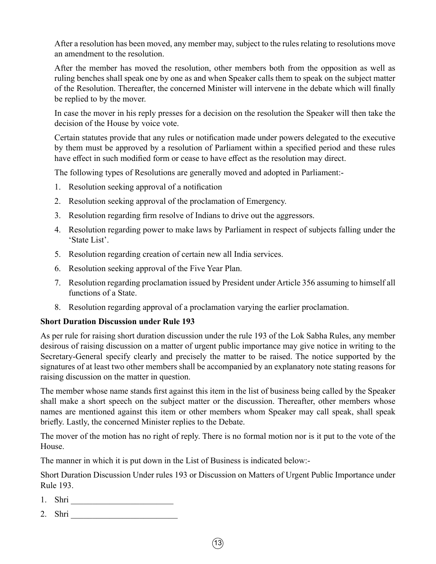After a resolution has been moved, any member may, subject to the rules relating to resolutions move an amendment to the resolution.

After the member has moved the resolution, other members both from the opposition as well as ruling benches shall speak one by one as and when Speaker calls them to speak on the subject matter of the Resolution. Thereafter, the concerned Minister will intervene in the debate which will finally be replied to by the mover.

In case the mover in his reply presses for a decision on the resolution the Speaker will then take the decision of the House by voice vote.

Certain statutes provide that any rules or notification made under powers delegated to the executive by them must be approved by a resolution of Parliament within a specified period and these rules have effect in such modified form or cease to have effect as the resolution may direct.

The following types of Resolutions are generally moved and adopted in Parliament:-

- 1. Resolution seeking approval of a notification
- 2. Resolution seeking approval of the proclamation of Emergency.
- 3. Resolution regarding firm resolve of Indians to drive out the aggressors.
- 4. Resolution regarding power to make laws by Parliament in respect of subjects falling under the 'State List'.
- 5. Resolution regarding creation of certain new all India services.
- 6. Resolution seeking approval of the Five Year Plan.
- 7. Resolution regarding proclamation issued by President under Article 356 assuming to himself all functions of a State.
- 8. Resolution regarding approval of a proclamation varying the earlier proclamation.

# **Short Duration Discussion under Rule 193**

As per rule for raising short duration discussion under the rule 193 of the Lok Sabha Rules, any member desirous of raising discussion on a matter of urgent public importance may give notice in writing to the Secretary-General specify clearly and precisely the matter to be raised. The notice supported by the signatures of at least two other members shall be accompanied by an explanatory note stating reasons for raising discussion on the matter in question.

The member whose name stands first against this item in the list of business being called by the Speaker shall make a short speech on the subject matter or the discussion. Thereafter, other members whose names are mentioned against this item or other members whom Speaker may call speak, shall speak briefly. Lastly, the concerned Minister replies to the Debate.

The mover of the motion has no right of reply. There is no formal motion nor is it put to the vote of the House.

The manner in which it is put down in the List of Business is indicated below:-

Short Duration Discussion Under rules 193 or Discussion on Matters of Urgent Public Importance under Rule 193.

- 1. Shri \_\_\_\_\_\_\_\_\_\_\_\_\_\_\_\_\_\_\_\_\_\_\_\_
- 2. Shri \_\_\_\_\_\_\_\_\_\_\_\_\_\_\_\_\_\_\_\_\_\_\_\_\_

 $(13$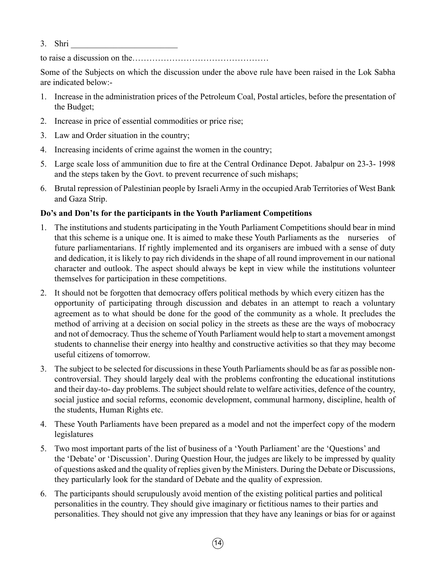3. Shri

to raise a discussion on the…………………………………………

Some of the Subjects on which the discussion under the above rule have been raised in the Lok Sabha are indicated below:-

- 1. Increase in the administration prices of the Petroleum Coal, Postal articles, before the presentation of the Budget;
- 2. Increase in price of essential commodities or price rise;
- 3. Law and Order situation in the country;
- 4. Increasing incidents of crime against the women in the country;
- 5. Large scale loss of ammunition due to fire at the Central Ordinance Depot. Jabalpur on 23-3- 1998 and the steps taken by the Govt. to prevent recurrence of such mishaps;
- 6. Brutal repression of Palestinian people by Israeli Army in the occupied Arab Territories of West Bank and Gaza Strip.

# **Do's and Don'ts for the participants in the Youth Parliament Competitions**

- 1. The institutions and students participating in the Youth Parliament Competitions should bear in mind that this scheme is a unique one. It is aimed to make these Youth Parliaments as the nurseries of future parliamentarians. If rightly implemented and its organisers are imbued with a sense of duty and dedication, it is likely to pay rich dividends in the shape of all round improvement in our national character and outlook. The aspect should always be kept in view while the institutions volunteer themselves for participation in these competitions.
- 2. It should not be forgotten that democracy offers political methods by which every citizen has the opportunity of participating through discussion and debates in an attempt to reach a voluntary agreement as to what should be done for the good of the community as a whole. It precludes the method of arriving at a decision on social policy in the streets as these are the ways of mobocracy and not of democracy. Thus the scheme of Youth Parliament would help to start a movement amongst students to channelise their energy into healthy and constructive activities so that they may become useful citizens of tomorrow.
- 3. The subject to be selected for discussions in these Youth Parliaments should be as far as possible noncontroversial. They should largely deal with the problems confronting the educational institutions and their day-to- day problems. The subject should relate to welfare activities, defence of the country, social justice and social reforms, economic development, communal harmony, discipline, health of the students, Human Rights etc.
- 4. These Youth Parliaments have been prepared as a model and not the imperfect copy of the modern legislatures
- 5. Two most important parts of the list of business of a 'Youth Parliament' are the 'Questions' and the 'Debate' or 'Discussion'. During Question Hour, the judges are likely to be impressed by quality of questions asked and the quality of replies given by the Ministers. During the Debate or Discussions, they particularly look for the standard of Debate and the quality of expression.
- 6. The participants should scrupulously avoid mention of the existing political parties and political personalities in the country. They should give imaginary or fictitious names to their parties and personalities. They should not give any impression that they have any leanings or bias for or against